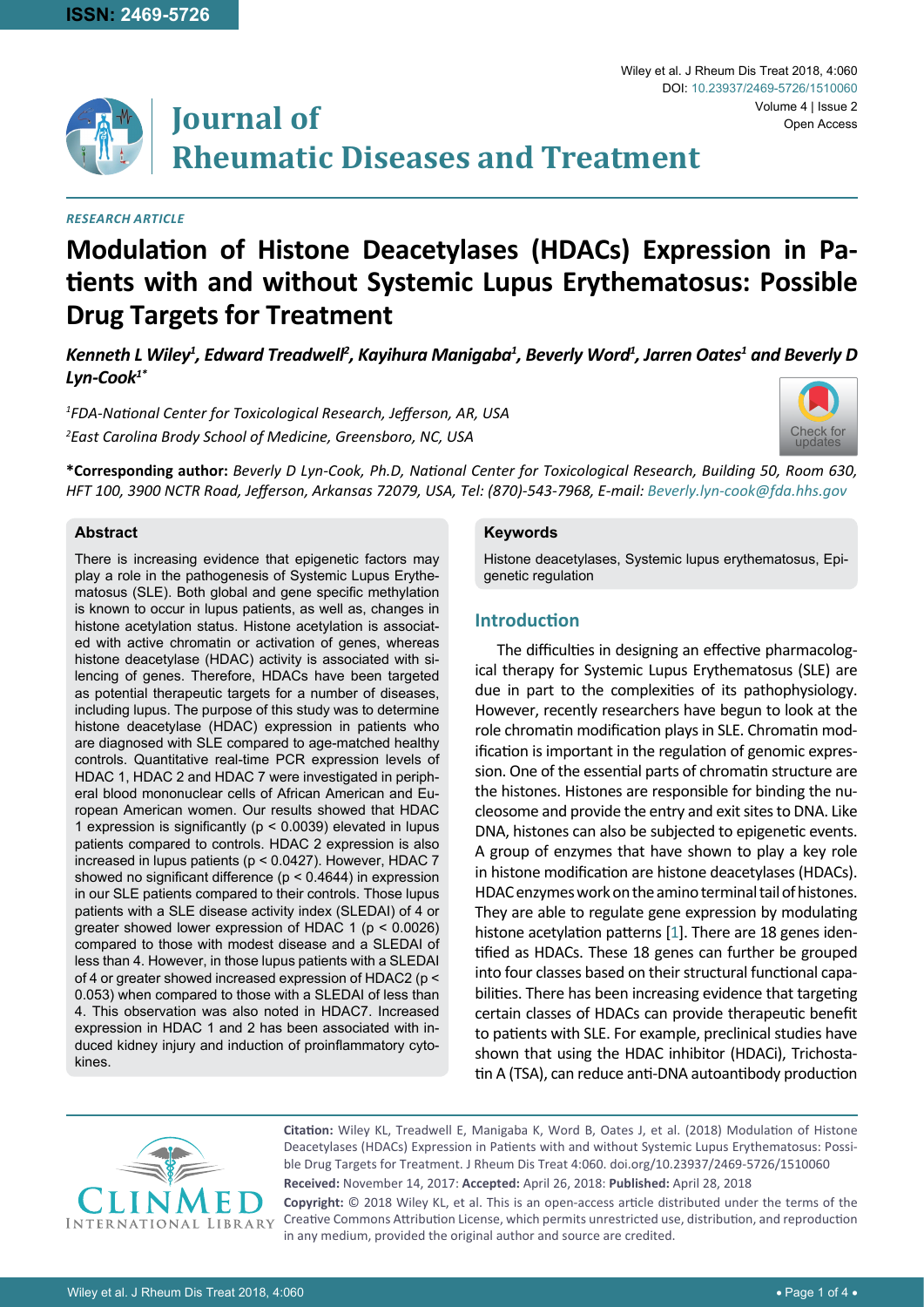

# **Journal of Rheumatic Diseases and Treatment**

#### *Research Article*

## **Modulation of Histone Deacetylases (HDACs) Expression in Patients with and without Systemic Lupus Erythematosus: Possible Drug Targets for Treatment**

Kenneth L Wiley<sup>1</sup>, Edward Treadwell<sup>2</sup>, Kayihura Manigaba<sup>1</sup>, Beverly Word<sup>1</sup>, Jarren Oates<sup>1</sup> and Beverly D *Lyn-Cook1\**

*1 FDA-National Center for Toxicological Research, Jefferson, AR, USA 2 East Carolina Brody School of Medicine, Greensboro, NC, USA*



**\*Corresponding author:** *Beverly D Lyn-Cook, Ph.D, National Center for Toxicological Research, Building 50, Room 630, HFT 100, 3900 NCTR Road, Jefferson, Arkansas 72079, USA, Tel: (870)-543-7968, E-mail: Beverly.lyn-cook@fda.hhs.gov*

#### **Abstract**

There is increasing evidence that epigenetic factors may play a role in the pathogenesis of Systemic Lupus Erythematosus (SLE). Both global and gene specific methylation is known to occur in lupus patients, as well as, changes in histone acetylation status. Histone acetylation is associated with active chromatin or activation of genes, whereas histone deacetylase (HDAC) activity is associated with silencing of genes. Therefore, HDACs have been targeted as potential therapeutic targets for a number of diseases, including lupus. The purpose of this study was to determine histone deacetylase (HDAC) expression in patients who are diagnosed with SLE compared to age-matched healthy controls. Quantitative real-time PCR expression levels of HDAC 1, HDAC 2 and HDAC 7 were investigated in peripheral blood mononuclear cells of African American and European American women. Our results showed that HDAC 1 expression is significantly (p < 0.0039) elevated in lupus patients compared to controls. HDAC 2 expression is also increased in lupus patients (p < 0.0427). However, HDAC 7 showed no significant difference (p < 0.4644) in expression in our SLE patients compared to their controls. Those lupus patients with a SLE disease activity index (SLEDAI) of 4 or greater showed lower expression of HDAC 1 (p < 0.0026) compared to those with modest disease and a SLEDAI of less than 4. However, in those lupus patients with a SLEDAI of 4 or greater showed increased expression of HDAC2 (p < 0.053) when compared to those with a SLEDAI of less than 4. This observation was also noted in HDAC7. Increased expression in HDAC 1 and 2 has been associated with induced kidney injury and induction of proinflammatory cytokines.

#### **Keywords**

Histone deacetylases, Systemic lupus erythematosus, Epigenetic regulation

### **Introduction**

The difficulties in designing an effective pharmacological therapy for Systemic Lupus Erythematosus (SLE) are due in part to the complexities of its pathophysiology. However, recently researchers have begun to look at the role chromatin modification plays in SLE. Chromatin modification is important in the regulation of genomic expression. One of the essential parts of chromatin structure are the histones. Histones are responsible for binding the nucleosome and provide the entry and exit sites to DNA. Like DNA, histones can also be subjected to epigenetic events. A group of enzymes that have shown to play a key role in histone modification are histone deacetylases (HDACs). HDAC enzymes work on the amino terminal tail of histones. They are able to regulate gene expression by modulating histone acetylation patterns [[1](#page-3-0)]. There are 18 genes identified as HDACs. These 18 genes can further be grouped into four classes based on their structural functional capabilities. There has been increasing evidence that targeting certain classes of HDACs can provide therapeutic benefit to patients with SLE. For example, preclinical studies have shown that using the HDAC inhibitor (HDACi), Trichostatin A (TSA), can reduce anti-DNA autoantibody production



**Citation:** Wiley KL, Treadwell E, Manigaba K, Word B, Oates J, et al. (2018) Modulation of Histone Deacetylases (HDACs) Expression in Patients with and without Systemic Lupus Erythematosus: Possible Drug Targets for Treatment. J Rheum Dis Treat 4:060. [doi.org/10.23937/2469-5726/1510060](https://doi.org/10.23937/2469-5726/1510060)

**Received:** November 14, 2017: **Accepted:** April 26, 2018: **Published:** April 28, 2018

**Copyright:** © 2018 Wiley KL, et al. This is an open-access article distributed under the terms of the Creative Commons Attribution License, which permits unrestricted use, distribution, and reproduction in any medium, provided the original author and source are credited.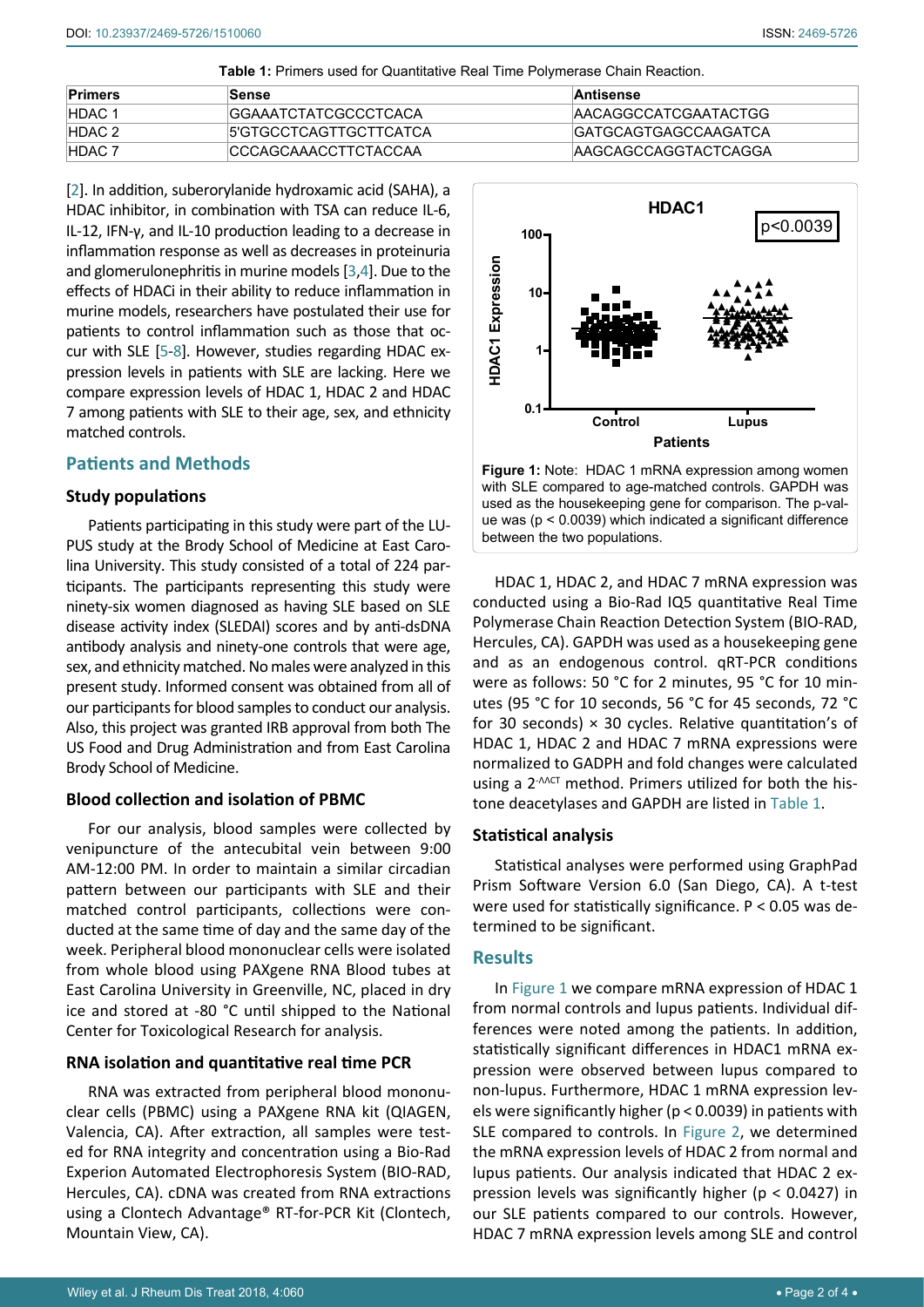<span id="page-1-0"></span>

| <b>Primers</b> | Sense                  | Antisense            |
|----------------|------------------------|----------------------|
| <b>HDAC1</b>   | GGAAATCTATCGCCCTCACA   | AACAGGCCATCGAATACTGG |
| HDAC 2         | 5'GTGCCTCAGTTGCTTCATCA | GATGCAGTGAGCCAAGATCA |
| <b>HDAC 7</b>  | CCCAGCAAACCTTCTACCAA   | AAGCAGCCAGGTACTCAGGA |

[[2](#page-3-1)]. In addition, suberorylanide hydroxamic acid (SAHA), a HDAC inhibitor, in combination with TSA can reduce IL-6, IL-12, IFN-γ, and IL-10 production leading to a decrease in inflammation response as well as decreases in proteinuria and glomerulonephritis in murine models [\[3](#page-3-2),[4](#page-3-3)]. Due to the effects of HDACi in their ability to reduce inflammation in murine models, researchers have postulated their use for patients to control inflammation such as those that occur with SLE [\[5](#page-3-4)-[8](#page-3-5)]. However, studies regarding HDAC expression levels in patients with SLE are lacking. Here we compare expression levels of HDAC 1, HDAC 2 and HDAC 7 among patients with SLE to their age, sex, and ethnicity matched controls.

## **Patients and Methods**

#### **Study populations**

Patients participating in this study were part of the LU-PUS study at the Brody School of Medicine at East Carolina University. This study consisted of a total of 224 participants. The participants representing this study were ninety-six women diagnosed as having SLE based on SLE disease activity index (SLEDAI) scores and by anti-dsDNA antibody analysis and ninety-one controls that were age, sex, and ethnicity matched. No males were analyzed in this present study. Informed consent was obtained from all of our participants for blood samples to conduct our analysis. Also, this project was granted IRB approval from both The US Food and Drug Administration and from East Carolina Brody School of Medicine.

#### **Blood collection and isolation of PBMC**

For our analysis, blood samples were collected by venipuncture of the antecubital vein between 9:00 AM-12:00 PM. In order to maintain a similar circadian pattern between our participants with SLE and their matched control participants, collections were conducted at the same time of day and the same day of the week. Peripheral blood mononuclear cells were isolated from whole blood using PAXgene RNA Blood tubes at East Carolina University in Greenville, NC, placed in dry ice and stored at -80 °C until shipped to the National Center for Toxicological Research for analysis.

## **RNA isolation and quantitative real time PCR**

RNA was extracted from peripheral blood mononuclear cells (PBMC) using a PAXgene RNA kit (QIAGEN, Valencia, CA). After extraction, all samples were tested for RNA integrity and concentration using a Bio-Rad Experion Automated Electrophoresis System (BIO-RAD, Hercules, CA). cDNA was created from RNA extractions using a Clontech Advantage® RT-for-PCR Kit (Clontech, Mountain View, CA).

<span id="page-1-1"></span>

with SLE compared to age-matched controls. GAPDH was used as the housekeeping gene for comparison. The p-value was (p < 0.0039) which indicated a significant difference between the two populations.

HDAC 1, HDAC 2, and HDAC 7 mRNA expression was conducted using a Bio-Rad IQ5 quantitative Real Time Polymerase Chain Reaction Detection System (BIO-RAD, Hercules, CA). GAPDH was used as a housekeeping gene and as an endogenous control. qRT-PCR conditions were as follows: 50 °C for 2 minutes, 95 °C for 10 minutes (95 °C for 10 seconds, 56 °C for 45 seconds, 72 °C for 30 seconds)  $\times$  30 cycles. Relative quantitation's of HDAC 1, HDAC 2 and HDAC 7 mRNA expressions were normalized to GADPH and fold changes were calculated using a 2<sup>-ΛΛCT</sup> method. Primers utilized for both the histone deacetylases and GAPDH are listed in [Table 1](#page-1-0).

#### **Statistical analysis**

Statistical analyses were performed using GraphPad Prism Software Version 6.0 (San Diego, CA). A t-test were used for statistically significance. P < 0.05 was determined to be significant.

#### **Results**

In [Figure 1](#page-1-1) we compare mRNA expression of HDAC 1 from normal controls and lupus patients. Individual differences were noted among the patients. In addition, statistically significant differences in HDAC1 mRNA expression were observed between lupus compared to non-lupus. Furthermore, HDAC 1 mRNA expression levels were significantly higher (p < 0.0039) in patients with SLE compared to controls. In [Figure 2](#page-2-0), we determined the mRNA expression levels of HDAC 2 from normal and lupus patients. Our analysis indicated that HDAC 2 expression levels was significantly higher ( $p < 0.0427$ ) in our SLE patients compared to our controls. However, HDAC 7 mRNA expression levels among SLE and control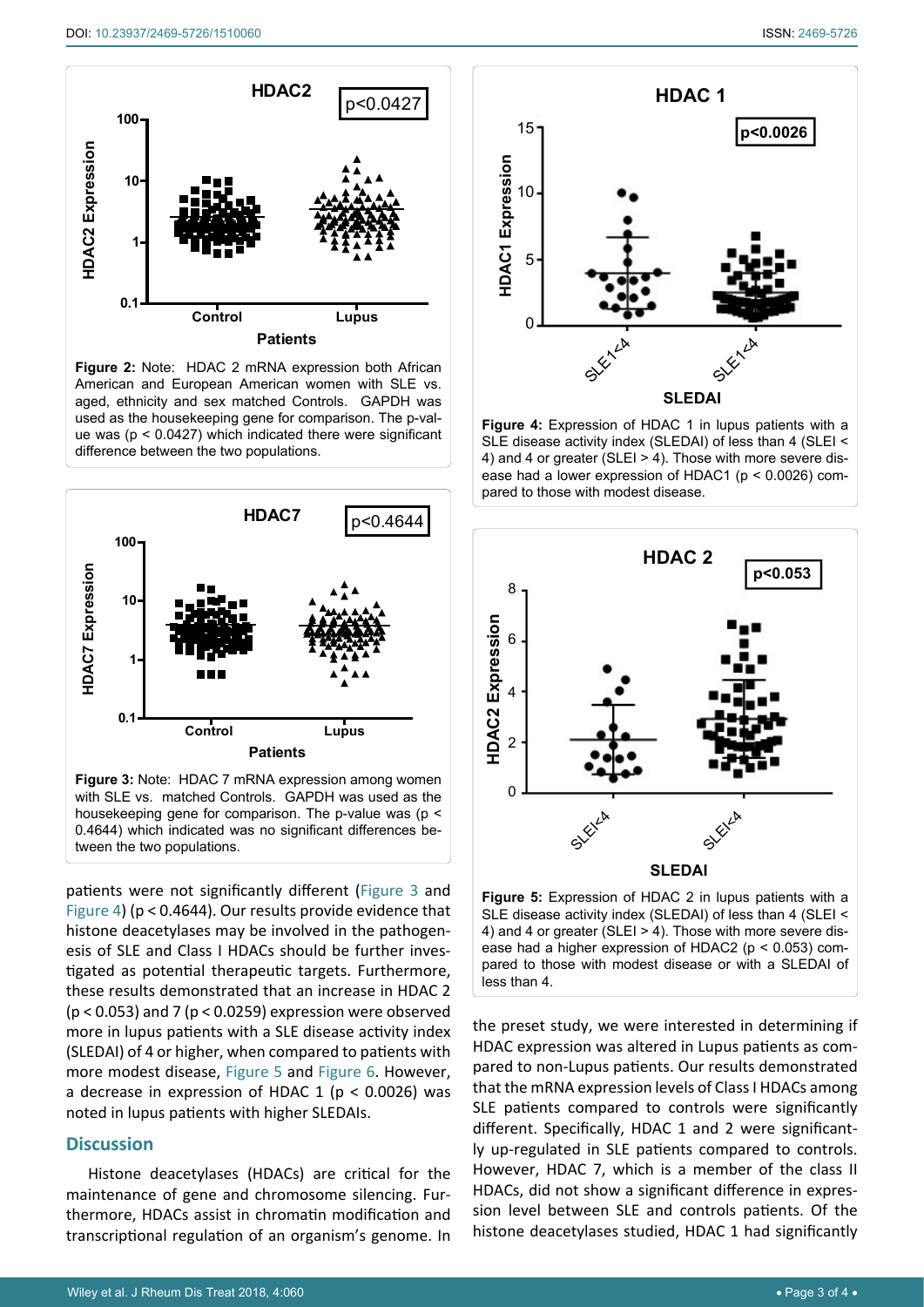<span id="page-2-0"></span>

**Figure 2:** Note: HDAC 2 mRNA expression both African American and European American women with SLE vs. aged, ethnicity and sex matched Controls. GAPDH was used as the housekeeping gene for comparison. The p-value was ( $p < 0.0427$ ) which indicated there were significant difference between the two populations.

<span id="page-2-1"></span>

**Figure 3:** Note: HDAC 7 mRNA expression among women with SLE vs. matched Controls. GAPDH was used as the housekeeping gene for comparison. The p-value was (p < 0.4644) which indicated was no significant differences between the two populations.

patients were not significantly different [\(Figure 3](#page-2-1) and [Figure 4](#page-2-2)) (p < 0.4644). Our results provide evidence that histone deacetylases may be involved in the pathogenesis of SLE and Class I HDACs should be further investigated as potential therapeutic targets. Furthermore, these results demonstrated that an increase in HDAC 2 ( $p < 0.053$ ) and 7 ( $p < 0.0259$ ) expression were observed more in lupus patients with a SLE disease activity index (SLEDAI) of 4 or higher, when compared to patients with more modest disease, [Figure 5](#page-2-3) and [Figure 6.](#page-3-6) However, a decrease in expression of HDAC 1 ( $p < 0.0026$ ) was noted in lupus patients with higher SLEDAIs.

#### **Discussion**

Histone deacetylases (HDACs) are critical for the maintenance of gene and chromosome silencing. Furthermore, HDACs assist in chromatin modification and transcriptional regulation of an organism's genome. In

<span id="page-2-2"></span>

**Figure 4:** Expression of HDAC 1 in lupus patients with a SLE disease activity index (SLEDAI) of less than 4 (SLEI < 4) and 4 or greater (SLEI > 4). Those with more severe disease had a lower expression of HDAC1 (p < 0.0026) compared to those with modest disease.

<span id="page-2-3"></span>

ease had a higher expression of HDAC2 ( $p < 0.053$ ) compared to those with modest disease or with a SLEDAI of less than 4.

the preset study, we were interested in determining if HDAC expression was altered in Lupus patients as compared to non-Lupus patients. Our results demonstrated that the mRNA expression levels of Class I HDACs among SLE patients compared to controls were significantly different. Specifically, HDAC 1 and 2 were significantly up-regulated in SLE patients compared to controls. However, HDAC 7, which is a member of the class II HDACs, did not show a significant difference in expression level between SLE and controls patients. Of the histone deacetylases studied, HDAC 1 had significantly